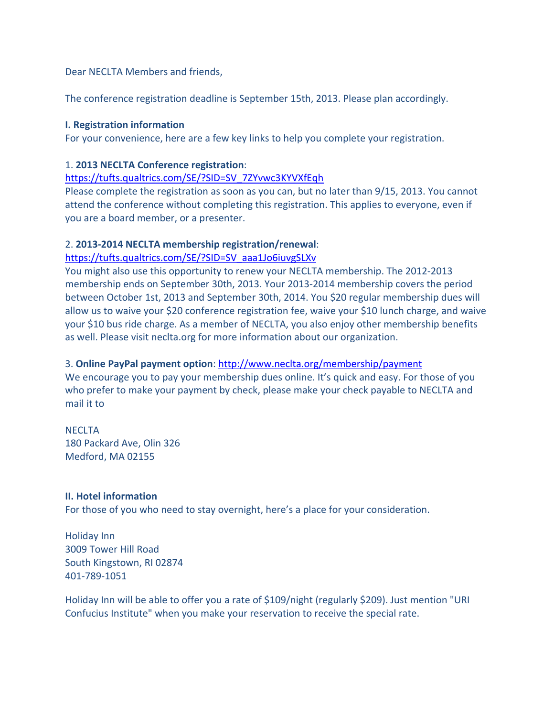Dear NECLTA Members and friends,

The conference registration deadline is September 15th, 2013. Please plan accordingly.

#### **I. Registration information**

For your convenience, here are a few key links to help you complete your registration.

#### 1. **2013 NECLTA Conference registration**:

#### https://tufts.qualtrics.com/SE/?SID=SV\_7ZYvwc3KYVXfEqh

Please complete the registration as soon as you can, but no later than 9/15, 2013. You cannot attend the conference without completing this registration. This applies to everyone, even if you are a board member, or a presenter.

## 2. **2013‐2014 NECLTA membership registration/renewal**:

## https://tufts.qualtrics.com/SE/?SID=SV\_aaa1Jo6iuvgSLXv

You might also use this opportunity to renew your NECLTA membership. The 2012‐2013 membership ends on September 30th, 2013. Your 2013‐2014 membership covers the period between October 1st, 2013 and September 30th, 2014. You \$20 regular membership dues will allow us to waive your \$20 conference registration fee, waive your \$10 lunch charge, and waive your \$10 bus ride charge. As a member of NECLTA, you also enjoy other membership benefits as well. Please visit neclta.org for more information about our organization.

## 3. **Online PayPal payment option**: http://www.neclta.org/membership/payment

We encourage you to pay your membership dues online. It's quick and easy. For those of you who prefer to make your payment by check, please make your check payable to NECLTA and mail it to

# **NECLTA** 180 Packard Ave, Olin 326 Medford, MA 02155

## **II. Hotel information**

For those of you who need to stay overnight, here's a place for your consideration.

Holiday Inn 3009 Tower Hill Road South Kingstown, RI 02874 401‐789‐1051

Holiday Inn will be able to offer you a rate of \$109/night (regularly \$209). Just mention "URI Confucius Institute" when you make your reservation to receive the special rate.